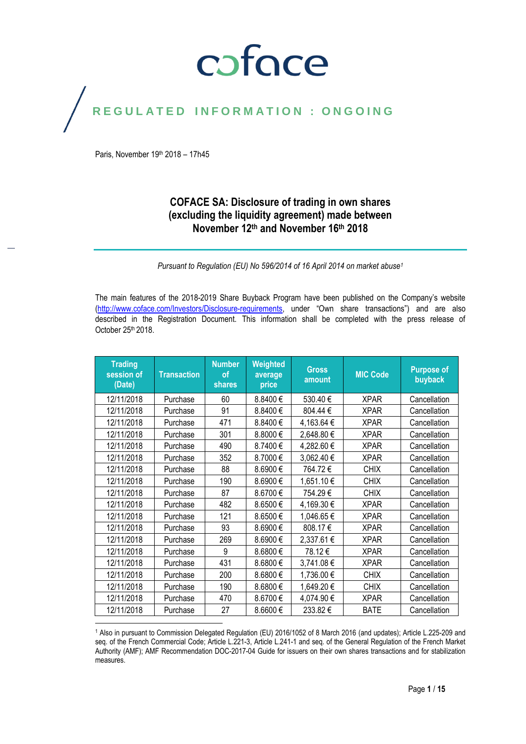## coface

## REGULATED INFORMATION : ONGOING

Paris, November 19<sup>th</sup> 2018 - 17h45

#### **COFACE SA: Disclosure of trading in own shares (excluding the liquidity agreement) made between November 12th and November 16th 2018**

*Pursuant to Regulation (EU) No 596/2014 of 16 April 2014 on market abuse<sup>1</sup>*

The main features of the 2018-2019 Share Buyback Program have been published on the Company's website [\(http://www.coface.com/Investors/Disclosure-requirements](http://www.coface.com/Investors/Disclosure-requirements), under "Own share transactions") and are also described in the Registration Document. This information shall be completed with the press release of October 25<sup>th</sup> 2018.

| <b>Trading</b><br>session of<br>(Date) | <b>Transaction</b> | <b>Number</b><br><b>of</b><br><b>shares</b> | Weighted<br>average<br>price | <b>Gross</b><br>amount | <b>MIC Code</b> | <b>Purpose of</b><br>buyback |
|----------------------------------------|--------------------|---------------------------------------------|------------------------------|------------------------|-----------------|------------------------------|
| 12/11/2018                             | Purchase           | 60                                          | 8.8400 €                     | 530.40€                | <b>XPAR</b>     | Cancellation                 |
| 12/11/2018                             | Purchase           | 91                                          | 8.8400€                      | 804.44€                | <b>XPAR</b>     | Cancellation                 |
| 12/11/2018                             | Purchase           | 471                                         | 8.8400€                      | 4,163.64 €             | <b>XPAR</b>     | Cancellation                 |
| 12/11/2018                             | Purchase           | 301                                         | 8.8000€                      | 2,648.80€              | <b>XPAR</b>     | Cancellation                 |
| 12/11/2018                             | Purchase           | 490                                         | 8.7400€                      | 4,282.60€              | <b>XPAR</b>     | Cancellation                 |
| 12/11/2018                             | Purchase           | 352                                         | 8.7000€                      | 3,062.40 €             | <b>XPAR</b>     | Cancellation                 |
| 12/11/2018                             | Purchase           | 88                                          | 8.6900€                      | 764.72€                | <b>CHIX</b>     | Cancellation                 |
| 12/11/2018                             | Purchase           | 190                                         | 8.6900€                      | 1,651.10€              | <b>CHIX</b>     | Cancellation                 |
| 12/11/2018                             | Purchase           | 87                                          | 8.6700€                      | 754.29€                | <b>CHIX</b>     | Cancellation                 |
| 12/11/2018                             | Purchase           | 482                                         | 8.6500€                      | 4,169.30€              | <b>XPAR</b>     | Cancellation                 |
| 12/11/2018                             | Purchase           | 121                                         | 8.6500€                      | 1,046.65€              | <b>XPAR</b>     | Cancellation                 |
| 12/11/2018                             | Purchase           | 93                                          | 8.6900€                      | 808.17€                | <b>XPAR</b>     | Cancellation                 |
| 12/11/2018                             | Purchase           | 269                                         | 8.6900€                      | 2,337.61€              | <b>XPAR</b>     | Cancellation                 |
| 12/11/2018                             | Purchase           | 9                                           | 8.6800€                      | 78.12€                 | <b>XPAR</b>     | Cancellation                 |
| 12/11/2018                             | Purchase           | 431                                         | 8.6800€                      | 3,741.08€              | <b>XPAR</b>     | Cancellation                 |
| 12/11/2018                             | Purchase           | 200                                         | 8.6800€                      | 1,736.00 €             | <b>CHIX</b>     | Cancellation                 |
| 12/11/2018                             | Purchase           | 190                                         | 8.6800€                      | 1,649.20€              | <b>CHIX</b>     | Cancellation                 |
| 12/11/2018                             | Purchase           | 470                                         | 8.6700€                      | 4,074.90€              | <b>XPAR</b>     | Cancellation                 |
| 12/11/2018                             | Purchase           | 27                                          | 8.6600€                      | 233.82€                | <b>BATE</b>     | Cancellation                 |

 $\overline{a}$ <sup>1</sup> Also in pursuant to Commission Delegated Regulation (EU) 2016/1052 of 8 March 2016 (and updates); Article L.225-209 and seq. of the French Commercial Code; Article L.221-3, Article L.241-1 and seq. of the General Regulation of the French Market Authority (AMF); AMF Recommendation DOC-2017-04 Guide for issuers on their own shares transactions and for stabilization measures.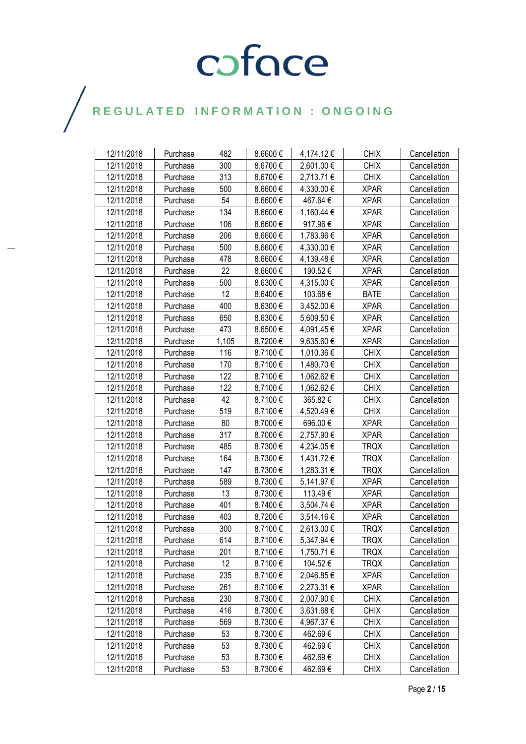| 12/11/2018 | Purchase | 482             | 8.6600€ | 4,174.12€  | <b>CHIX</b> | Cancellation |
|------------|----------|-----------------|---------|------------|-------------|--------------|
| 12/11/2018 | Purchase | 300             | 8.6700€ | 2,601.00€  | <b>CHIX</b> | Cancellation |
| 12/11/2018 | Purchase | 313             | 8.6700€ | 2,713.71 € | <b>CHIX</b> | Cancellation |
| 12/11/2018 | Purchase | 500             | 8.6600€ | 4,330.00 € | <b>XPAR</b> | Cancellation |
| 12/11/2018 | Purchase | 54              | 8.6600€ | 467.64€    | <b>XPAR</b> | Cancellation |
| 12/11/2018 | Purchase | 134             | 8.6600€ | 1,160.44 € | <b>XPAR</b> | Cancellation |
| 12/11/2018 | Purchase | 106             | 8.6600€ | 917.96€    | <b>XPAR</b> | Cancellation |
| 12/11/2018 | Purchase | 206             | 8.6600€ | 1,783.96 € | <b>XPAR</b> | Cancellation |
| 12/11/2018 | Purchase | 500             | 8.6600€ | 4,330.00 € | <b>XPAR</b> | Cancellation |
| 12/11/2018 | Purchase | 478             | 8.6600€ | 4,139.48€  | <b>XPAR</b> | Cancellation |
| 12/11/2018 | Purchase | 22              | 8.6600€ | 190.52€    | <b>XPAR</b> | Cancellation |
| 12/11/2018 | Purchase | 500             | 8.6300€ | 4,315.00 € | <b>XPAR</b> | Cancellation |
| 12/11/2018 | Purchase | 12              | 8.6400€ | 103.68€    | <b>BATE</b> | Cancellation |
| 12/11/2018 | Purchase | 400             | 8.6300€ | 3,452.00 € | <b>XPAR</b> | Cancellation |
| 12/11/2018 | Purchase | 650             | 8.6300€ | 5,609.50€  | <b>XPAR</b> | Cancellation |
| 12/11/2018 | Purchase | 473             | 8.6500€ | 4,091.45€  | <b>XPAR</b> | Cancellation |
| 12/11/2018 | Purchase | 1,105           | 8.7200€ | 9,635.60 € | <b>XPAR</b> | Cancellation |
| 12/11/2018 | Purchase | 116             | 8.7100€ | 1,010.36 € | <b>CHIX</b> | Cancellation |
| 12/11/2018 | Purchase | 170             | 8.7100€ | 1,480.70 € | <b>CHIX</b> | Cancellation |
| 12/11/2018 | Purchase | 122             | 8.7100€ | 1,062.62 € | <b>CHIX</b> | Cancellation |
| 12/11/2018 | Purchase | 122             | 8.7100€ | 1,062.62 € | <b>CHIX</b> | Cancellation |
| 12/11/2018 | Purchase | 42              | 8.7100€ | 365.82€    | <b>CHIX</b> | Cancellation |
| 12/11/2018 | Purchase | 519             | 8.7100€ | 4,520.49€  | <b>CHIX</b> | Cancellation |
| 12/11/2018 | Purchase | 80              | 8.7000€ | 696.00€    | <b>XPAR</b> | Cancellation |
| 12/11/2018 | Purchase | 317             | 8.7000€ | 2,757.90 € | <b>XPAR</b> | Cancellation |
| 12/11/2018 | Purchase | 485             | 8.7300€ | 4,234.05€  | <b>TRQX</b> | Cancellation |
| 12/11/2018 | Purchase | 164             | 8.7300€ | 1,431.72 € | <b>TRQX</b> | Cancellation |
| 12/11/2018 | Purchase | 147             | 8.7300€ | 1,283.31 € | <b>TRQX</b> | Cancellation |
| 12/11/2018 | Purchase | 589             | 8.7300€ | 5,141.97 € | <b>XPAR</b> | Cancellation |
| 12/11/2018 | Purchase | 13              | 8.7300€ | 113.49€    | <b>XPAR</b> | Cancellation |
| 12/11/2018 | Purchase | 401             | 8.7400€ | 3,504.74 € | <b>XPAR</b> | Cancellation |
| 12/11/2018 | Purchase | 403             | 8.7200€ | 3,514.16€  | <b>XPAR</b> | Cancellation |
| 12/11/2018 | Purchase | 300             | 8.7100€ | 2,613.00€  | <b>TRQX</b> | Cancellation |
| 12/11/2018 | Purchase | 614             | 8.7100€ | 5,347.94 € | <b>TRQX</b> | Cancellation |
| 12/11/2018 | Purchase | 201             | 8.7100€ | 1,750.71 € | <b>TRQX</b> | Cancellation |
| 12/11/2018 | Purchase | 12 <sup>°</sup> | 8.7100€ | 104.52€    | <b>TRQX</b> | Cancellation |
| 12/11/2018 | Purchase | 235             | 8.7100€ | 2,046.85 € | <b>XPAR</b> | Cancellation |
| 12/11/2018 | Purchase | 261             | 8.7100€ | 2,273.31 € | <b>XPAR</b> | Cancellation |
| 12/11/2018 | Purchase | 230             | 8.7300€ | 2,007.90 € | <b>CHIX</b> | Cancellation |
| 12/11/2018 | Purchase | 416             | 8.7300€ | 3,631.68€  | <b>CHIX</b> | Cancellation |
| 12/11/2018 | Purchase | 569             | 8.7300€ | 4,967.37 € | <b>CHIX</b> | Cancellation |
| 12/11/2018 | Purchase | 53              | 8.7300€ | 462.69€    | <b>CHIX</b> | Cancellation |
| 12/11/2018 | Purchase | 53              | 8.7300€ | 462.69€    | <b>CHIX</b> | Cancellation |
| 12/11/2018 | Purchase | 53              | 8.7300€ | 462.69€    | <b>CHIX</b> | Cancellation |
| 12/11/2018 | Purchase | 53              | 8.7300€ | 462.69€    | <b>CHIX</b> | Cancellation |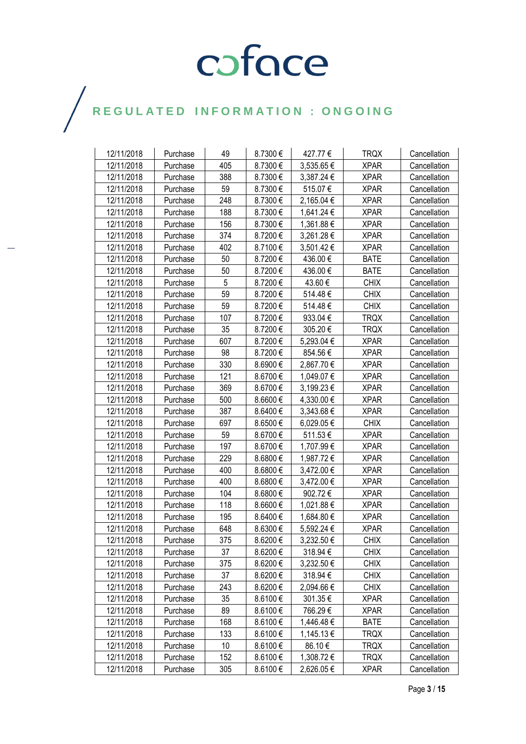| 12/11/2018 | Purchase | 49  | 8.7300€ | 427.77€    | <b>TRQX</b> | Cancellation |
|------------|----------|-----|---------|------------|-------------|--------------|
| 12/11/2018 | Purchase | 405 | 8.7300€ | 3,535.65€  | <b>XPAR</b> | Cancellation |
| 12/11/2018 | Purchase | 388 | 8.7300€ | 3,387.24 € | <b>XPAR</b> | Cancellation |
| 12/11/2018 | Purchase | 59  | 8.7300€ | 515.07€    | <b>XPAR</b> | Cancellation |
| 12/11/2018 | Purchase | 248 | 8.7300€ | 2,165.04 € | <b>XPAR</b> | Cancellation |
| 12/11/2018 | Purchase | 188 | 8.7300€ | 1,641.24 € | <b>XPAR</b> | Cancellation |
| 12/11/2018 | Purchase | 156 | 8.7300€ | 1,361.88€  | <b>XPAR</b> | Cancellation |
| 12/11/2018 | Purchase | 374 | 8.7200€ | 3,261.28€  | <b>XPAR</b> | Cancellation |
| 12/11/2018 | Purchase | 402 | 8.7100€ | 3,501.42€  | <b>XPAR</b> | Cancellation |
| 12/11/2018 | Purchase | 50  | 8.7200€ | 436.00€    | <b>BATE</b> | Cancellation |
| 12/11/2018 | Purchase | 50  | 8.7200€ | 436.00€    | <b>BATE</b> | Cancellation |
| 12/11/2018 | Purchase | 5   | 8.7200€ | 43.60 €    | <b>CHIX</b> | Cancellation |
| 12/11/2018 | Purchase | 59  | 8.7200€ | 514.48€    | <b>CHIX</b> | Cancellation |
| 12/11/2018 | Purchase | 59  | 8.7200€ | 514.48€    | <b>CHIX</b> | Cancellation |
| 12/11/2018 | Purchase | 107 | 8.7200€ | 933.04€    | <b>TRQX</b> | Cancellation |
| 12/11/2018 | Purchase | 35  | 8.7200€ | 305.20€    | <b>TRQX</b> | Cancellation |
| 12/11/2018 | Purchase | 607 | 8.7200€ | 5,293.04 € | <b>XPAR</b> | Cancellation |
| 12/11/2018 | Purchase | 98  | 8.7200€ | 854.56€    | <b>XPAR</b> | Cancellation |
| 12/11/2018 | Purchase | 330 | 8.6900€ | 2,867.70€  | <b>XPAR</b> | Cancellation |
| 12/11/2018 | Purchase | 121 | 8.6700€ | 1,049.07 € | <b>XPAR</b> | Cancellation |
| 12/11/2018 | Purchase | 369 | 8.6700€ | 3,199.23€  | <b>XPAR</b> | Cancellation |
| 12/11/2018 | Purchase | 500 | 8.6600€ | 4,330.00 € | <b>XPAR</b> | Cancellation |
| 12/11/2018 | Purchase | 387 | 8.6400€ | 3,343.68 € | <b>XPAR</b> | Cancellation |
| 12/11/2018 | Purchase | 697 | 8.6500€ | 6,029.05€  | <b>CHIX</b> | Cancellation |
| 12/11/2018 | Purchase | 59  | 8.6700€ | 511.53€    | <b>XPAR</b> | Cancellation |
| 12/11/2018 | Purchase | 197 | 8.6700€ | 1,707.99€  | <b>XPAR</b> | Cancellation |
| 12/11/2018 | Purchase | 229 | 8.6800€ | 1,987.72€  | <b>XPAR</b> | Cancellation |
| 12/11/2018 | Purchase | 400 | 8.6800€ | 3,472.00 € | <b>XPAR</b> | Cancellation |
| 12/11/2018 | Purchase | 400 | 8.6800€ | 3,472.00 € | <b>XPAR</b> | Cancellation |
| 12/11/2018 | Purchase | 104 | 8.6800€ | 902.72€    | <b>XPAR</b> | Cancellation |
| 12/11/2018 | Purchase | 118 | 8.6600€ | 1,021.88 € | <b>XPAR</b> | Cancellation |
| 12/11/2018 | Purchase | 195 | 8.6400€ | 1,684.80€  | <b>XPAR</b> | Cancellation |
| 12/11/2018 | Purchase | 648 | 8.6300€ | 5,592.24 € | <b>XPAR</b> | Cancellation |
| 12/11/2018 | Purchase | 375 | 8.6200€ | 3,232.50€  | <b>CHIX</b> | Cancellation |
| 12/11/2018 | Purchase | 37  | 8.6200€ | 318.94 €   | <b>CHIX</b> | Cancellation |
| 12/11/2018 | Purchase | 375 | 8.6200€ | 3,232.50 € | <b>CHIX</b> | Cancellation |
| 12/11/2018 | Purchase | 37  | 8.6200€ | 318.94€    | <b>CHIX</b> | Cancellation |
| 12/11/2018 | Purchase | 243 | 8.6200€ | 2,094.66€  | <b>CHIX</b> | Cancellation |
| 12/11/2018 | Purchase | 35  | 8.6100€ | 301.35€    | <b>XPAR</b> | Cancellation |
| 12/11/2018 | Purchase | 89  | 8.6100€ | 766.29€    | <b>XPAR</b> | Cancellation |
| 12/11/2018 | Purchase | 168 | 8.6100€ | 1,446.48 € | <b>BATE</b> | Cancellation |
| 12/11/2018 | Purchase | 133 | 8.6100€ | 1,145.13 € | <b>TRQX</b> | Cancellation |
| 12/11/2018 | Purchase | 10  | 8.6100€ | 86.10€     | TRQX        | Cancellation |
| 12/11/2018 | Purchase | 152 | 8.6100€ | 1,308.72€  | <b>TRQX</b> | Cancellation |
| 12/11/2018 | Purchase | 305 | 8.6100€ | 2,626.05€  | <b>XPAR</b> | Cancellation |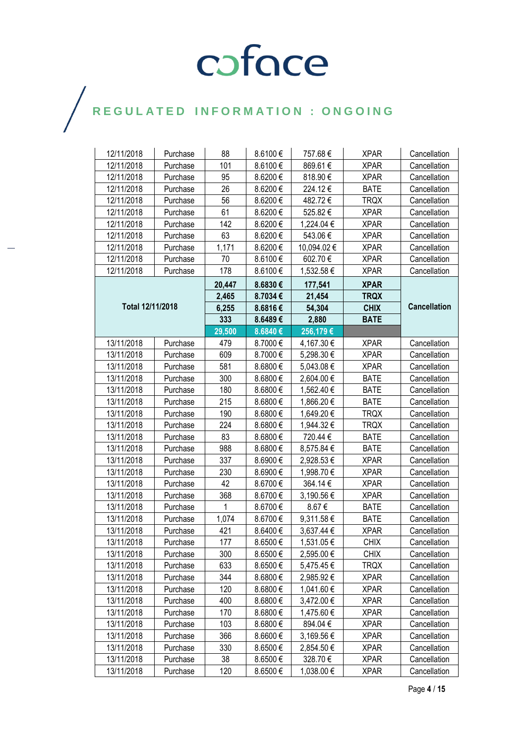| 12/11/2018       | Purchase | 88     | 8.6100€ | 757.68€     | <b>XPAR</b> | Cancellation        |
|------------------|----------|--------|---------|-------------|-------------|---------------------|
| 12/11/2018       | Purchase | 101    | 8.6100€ | 869.61€     | <b>XPAR</b> | Cancellation        |
| 12/11/2018       | Purchase | 95     | 8.6200€ | 818.90€     | <b>XPAR</b> | Cancellation        |
| 12/11/2018       | Purchase | 26     | 8.6200€ | 224.12€     | <b>BATE</b> | Cancellation        |
| 12/11/2018       | Purchase | 56     | 8.6200€ | 482.72€     | <b>TRQX</b> | Cancellation        |
| 12/11/2018       | Purchase | 61     | 8.6200€ | 525.82€     | <b>XPAR</b> | Cancellation        |
| 12/11/2018       | Purchase | 142    | 8.6200€ | 1,224.04 €  | <b>XPAR</b> | Cancellation        |
| 12/11/2018       | Purchase | 63     | 8.6200€ | 543.06€     | <b>XPAR</b> | Cancellation        |
| 12/11/2018       | Purchase | 1,171  | 8.6200€ | 10,094.02 € | <b>XPAR</b> | Cancellation        |
| 12/11/2018       | Purchase | 70     | 8.6100€ | 602.70€     | <b>XPAR</b> | Cancellation        |
| 12/11/2018       | Purchase | 178    | 8.6100€ | 1,532.58 €  | <b>XPAR</b> | Cancellation        |
|                  |          | 20,447 | 8.6830€ | 177,541     | <b>XPAR</b> |                     |
|                  |          | 2,465  | 8.7034€ | 21,454      | <b>TRQX</b> |                     |
| Total 12/11/2018 |          | 6,255  | 8.6816€ | 54,304      | <b>CHIX</b> | <b>Cancellation</b> |
|                  |          | 333    | 8.6489€ | 2,880       | <b>BATE</b> |                     |
|                  |          | 29,500 | 8.6840€ | 256,179€    |             |                     |
| 13/11/2018       | Purchase | 479    | 8.7000€ | 4,167.30 €  | <b>XPAR</b> | Cancellation        |
| 13/11/2018       | Purchase | 609    | 8.7000€ | 5,298.30 €  | <b>XPAR</b> | Cancellation        |
| 13/11/2018       | Purchase | 581    | 8.6800€ | 5,043.08€   | <b>XPAR</b> | Cancellation        |
| 13/11/2018       | Purchase | 300    | 8.6800€ | 2,604.00 €  | <b>BATE</b> | Cancellation        |
| 13/11/2018       | Purchase | 180    | 8.6800€ | 1,562.40 €  | <b>BATE</b> | Cancellation        |
| 13/11/2018       | Purchase | 215    | 8.6800€ | 1,866.20 €  | <b>BATE</b> | Cancellation        |
| 13/11/2018       | Purchase | 190    | 8.6800€ | 1,649.20 €  | TRQX        | Cancellation        |
| 13/11/2018       | Purchase | 224    | 8.6800€ | 1,944.32 €  | <b>TRQX</b> | Cancellation        |
| 13/11/2018       | Purchase | 83     | 8.6800€ | 720.44€     | <b>BATE</b> | Cancellation        |
| 13/11/2018       | Purchase | 988    | 8.6800€ | 8,575.84 €  | <b>BATE</b> | Cancellation        |
| 13/11/2018       | Purchase | 337    | 8.6900€ | 2,928.53 €  | <b>XPAR</b> | Cancellation        |
| 13/11/2018       | Purchase | 230    | 8.6900€ | 1,998.70 €  | <b>XPAR</b> | Cancellation        |
| 13/11/2018       | Purchase | 42     | 8.6700€ | 364.14€     | <b>XPAR</b> | Cancellation        |
| 13/11/2018       | Purchase | 368    | 8.6700€ | 3,190.56 €  | <b>XPAR</b> | Cancellation        |
| 13/11/2018       | Purchase | 1      | 8.6700€ | 8.67€       | <b>BATE</b> | Cancellation        |
| 13/11/2018       | Purchase | 1,074  | 8.6700€ | 9,311.58 €  | <b>BATE</b> | Cancellation        |
| 13/11/2018       | Purchase | 421    | 8.6400€ | 3,637.44 €  | <b>XPAR</b> | Cancellation        |
| 13/11/2018       | Purchase | 177    | 8.6500€ | 1,531.05€   | <b>CHIX</b> | Cancellation        |
| 13/11/2018       | Purchase | 300    | 8.6500€ | 2,595.00 €  | <b>CHIX</b> | Cancellation        |
| 13/11/2018       | Purchase | 633    | 8.6500€ | 5,475.45 €  | <b>TRQX</b> | Cancellation        |
| 13/11/2018       | Purchase | 344    | 8.6800€ | 2,985.92€   | <b>XPAR</b> | Cancellation        |
| 13/11/2018       | Purchase | 120    | 8.6800€ | 1,041.60 €  | <b>XPAR</b> | Cancellation        |
| 13/11/2018       | Purchase | 400    | 8.6800€ | 3,472.00 €  | <b>XPAR</b> | Cancellation        |
| 13/11/2018       | Purchase | 170    | 8.6800€ | 1,475.60 €  | <b>XPAR</b> | Cancellation        |
| 13/11/2018       | Purchase | 103    | 8.6800€ | 894.04€     | <b>XPAR</b> | Cancellation        |
| 13/11/2018       | Purchase | 366    | 8.6600€ | 3,169.56€   | <b>XPAR</b> | Cancellation        |
| 13/11/2018       | Purchase | 330    | 8.6500€ | 2,854.50 €  | <b>XPAR</b> | Cancellation        |
| 13/11/2018       | Purchase | 38     | 8.6500€ | 328.70€     | <b>XPAR</b> | Cancellation        |
| 13/11/2018       | Purchase | 120    | 8.6500€ | 1,038.00 €  | <b>XPAR</b> | Cancellation        |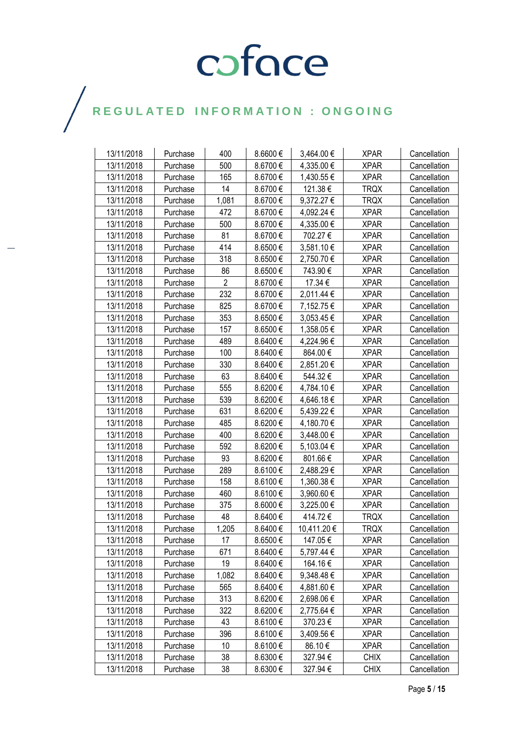| 13/11/2018 | Purchase | 400            | 8.6600€  | 3,464.00 €  | <b>XPAR</b> | Cancellation |
|------------|----------|----------------|----------|-------------|-------------|--------------|
| 13/11/2018 | Purchase | 500            | 8.6700€  | 4,335.00€   | <b>XPAR</b> | Cancellation |
| 13/11/2018 | Purchase | 165            | 8.6700€  | 1,430.55€   | <b>XPAR</b> | Cancellation |
| 13/11/2018 | Purchase | 14             | 8.6700€  | 121.38€     | <b>TRQX</b> | Cancellation |
| 13/11/2018 | Purchase | 1,081          | 8.6700€  | 9,372.27 €  | <b>TRQX</b> | Cancellation |
| 13/11/2018 | Purchase | 472            | 8.6700€  | 4,092.24 €  | <b>XPAR</b> | Cancellation |
| 13/11/2018 | Purchase | 500            | 8.6700€  | 4,335.00 €  | <b>XPAR</b> | Cancellation |
| 13/11/2018 | Purchase | 81             | 8.6700€  | 702.27€     | <b>XPAR</b> | Cancellation |
| 13/11/2018 | Purchase | 414            | 8.6500€  | 3,581.10 €  | <b>XPAR</b> | Cancellation |
| 13/11/2018 | Purchase | 318            | 8.6500€  | 2,750.70€   | <b>XPAR</b> | Cancellation |
| 13/11/2018 | Purchase | 86             | 8.6500€  | 743.90€     | <b>XPAR</b> | Cancellation |
| 13/11/2018 | Purchase | $\overline{2}$ | 8.6700€  | 17.34 €     | <b>XPAR</b> | Cancellation |
| 13/11/2018 | Purchase | 232            | 8.6700€  | 2,011.44 €  | <b>XPAR</b> | Cancellation |
| 13/11/2018 | Purchase | 825            | 8.6700€  | 7,152.75€   | <b>XPAR</b> | Cancellation |
| 13/11/2018 | Purchase | 353            | 8.6500€  | 3,053.45€   | <b>XPAR</b> | Cancellation |
| 13/11/2018 | Purchase | 157            | 8.6500€  | 1,358.05€   | <b>XPAR</b> | Cancellation |
| 13/11/2018 | Purchase | 489            | 8.6400€  | 4,224.96€   | <b>XPAR</b> | Cancellation |
| 13/11/2018 | Purchase | 100            | 8.6400€  | 864.00€     | <b>XPAR</b> | Cancellation |
| 13/11/2018 | Purchase | 330            | 8.6400€  | 2,851.20€   | <b>XPAR</b> | Cancellation |
| 13/11/2018 | Purchase | 63             | 8.6400€  | 544.32€     | <b>XPAR</b> | Cancellation |
| 13/11/2018 | Purchase | 555            | 8.6200€  | 4,784.10€   | <b>XPAR</b> | Cancellation |
| 13/11/2018 | Purchase | 539            | 8.6200€  | 4,646.18€   | <b>XPAR</b> | Cancellation |
| 13/11/2018 | Purchase | 631            | 8.6200€  | 5,439.22€   | <b>XPAR</b> | Cancellation |
| 13/11/2018 | Purchase | 485            | 8.6200€  | 4,180.70 €  | <b>XPAR</b> | Cancellation |
| 13/11/2018 | Purchase | 400            | 8.6200€  | 3,448.00 €  | <b>XPAR</b> | Cancellation |
| 13/11/2018 | Purchase | 592            | 8.6200€  | 5,103.04 €  | <b>XPAR</b> | Cancellation |
| 13/11/2018 | Purchase | 93             | 8.6200€  | 801.66€     | <b>XPAR</b> | Cancellation |
| 13/11/2018 | Purchase | 289            | 8.6100€  | 2,488.29€   | <b>XPAR</b> | Cancellation |
| 13/11/2018 | Purchase | 158            | 8.6100€  | 1,360.38 €  | <b>XPAR</b> | Cancellation |
| 13/11/2018 | Purchase | 460            | 8.6100€  | 3,960.60 €  | <b>XPAR</b> | Cancellation |
| 13/11/2018 | Purchase | 375            | 8.6000€  | 3,225.00 €  | <b>XPAR</b> | Cancellation |
| 13/11/2018 | Purchase | 48             | 8.6400€  | 414.72€     | <b>TRQX</b> | Cancellation |
| 13/11/2018 | Purchase | 1,205          | 8.6400€  | 10,411.20 € | <b>TRQX</b> | Cancellation |
| 13/11/2018 | Purchase | 17             | 8.6500€  | 147.05€     | <b>XPAR</b> | Cancellation |
| 13/11/2018 | Purchase | 671            | 8.6400€  | 5,797.44 €  | <b>XPAR</b> | Cancellation |
| 13/11/2018 | Purchase | 19             | 8.6400€  | 164.16€     | <b>XPAR</b> | Cancellation |
| 13/11/2018 | Purchase | 1,082          | 8.6400€  | 9,348.48€   | <b>XPAR</b> | Cancellation |
| 13/11/2018 | Purchase | 565            | 8.6400€  | 4,881.60 €  | <b>XPAR</b> | Cancellation |
| 13/11/2018 | Purchase | 313            | 8.6200€  | 2,698.06€   | <b>XPAR</b> | Cancellation |
| 13/11/2018 | Purchase | 322            | 8.6200€  | 2,775.64 €  | <b>XPAR</b> | Cancellation |
| 13/11/2018 | Purchase | 43             | 8.6100€  | 370.23€     | <b>XPAR</b> | Cancellation |
| 13/11/2018 | Purchase | 396            | 8.6100€  | 3,409.56 €  | <b>XPAR</b> | Cancellation |
| 13/11/2018 | Purchase | 10             | 8.6100€  | 86.10 €     | <b>XPAR</b> | Cancellation |
| 13/11/2018 | Purchase | 38             | 8.6300 € | 327.94€     | <b>CHIX</b> | Cancellation |
| 13/11/2018 | Purchase | 38             | 8.6300€  | 327.94€     | <b>CHIX</b> | Cancellation |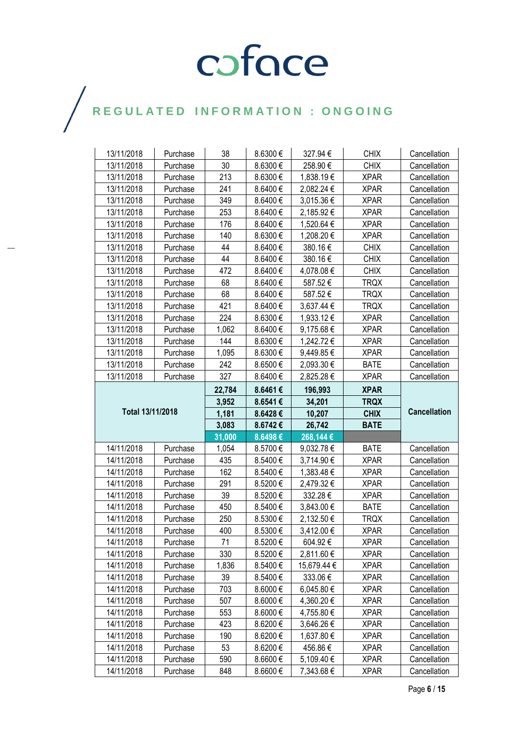| 13/11/2018               | Purchase             | 38         | 8.6300€            | 327.94€                  | <b>CHIX</b>                | Cancellation                 |
|--------------------------|----------------------|------------|--------------------|--------------------------|----------------------------|------------------------------|
| 13/11/2018               | Purchase             | 30         | 8.6300€            | 258.90€                  | <b>CHIX</b>                | Cancellation                 |
| 13/11/2018               | Purchase             | 213        | 8.6300€            | 1,838.19€                | <b>XPAR</b>                | Cancellation                 |
| 13/11/2018               | Purchase             | 241        | 8.6400€            | 2,082.24 €               | <b>XPAR</b>                | Cancellation                 |
| 13/11/2018               | Purchase             | 349        | 8.6400€            | 3,015.36 €               | <b>XPAR</b>                | Cancellation                 |
| 13/11/2018               | Purchase             | 253        | 8.6400€            | 2,185.92 €               | <b>XPAR</b>                | Cancellation                 |
| 13/11/2018               | Purchase             | 176        | 8.6400€            | 1,520.64 €               | <b>XPAR</b>                | Cancellation                 |
| 13/11/2018               | Purchase             | 140        | 8.6300€            | 1,208.20€                | <b>XPAR</b>                | Cancellation                 |
| 13/11/2018               | Purchase             | 44         | 8.6400€            | 380.16€                  | <b>CHIX</b>                | Cancellation                 |
| 13/11/2018               | Purchase             | 44         | 8.6400€            | 380.16€                  | <b>CHIX</b>                | Cancellation                 |
| 13/11/2018               | Purchase             | 472        | 8.6400€            | 4,078.08€                | <b>CHIX</b>                | Cancellation                 |
| 13/11/2018               | Purchase             | 68         | 8.6400€            | 587.52€                  | <b>TRQX</b>                | Cancellation                 |
| 13/11/2018               | Purchase             | 68         | 8.6400€            | 587.52€                  | <b>TRQX</b>                | Cancellation                 |
| 13/11/2018               | Purchase             | 421        | 8.6400€            | 3,637.44 €               | TRQX                       | Cancellation                 |
| 13/11/2018               | Purchase             | 224        | 8.6300€            | 1,933.12 €               | <b>XPAR</b>                | Cancellation                 |
| 13/11/2018               | Purchase             | 1,062      | 8.6400€            | 9,175.68€                | <b>XPAR</b>                | Cancellation                 |
| 13/11/2018               | Purchase             | 144        | 8.6300€            | 1,242.72 €               | <b>XPAR</b>                | Cancellation                 |
| 13/11/2018               | Purchase             | 1,095      | 8.6300€            | 9,449.85 €               | <b>XPAR</b>                | Cancellation                 |
| 13/11/2018               | Purchase             | 242        | 8.6500€            | 2,093.30 €               | <b>BATE</b>                | Cancellation                 |
| 13/11/2018               | Purchase             | 327        | 8.6400€            | 2,825.28€                | <b>XPAR</b>                | Cancellation                 |
|                          |                      | 22,784     | 8.6461€            | 196,993                  | <b>XPAR</b>                |                              |
|                          |                      | 3,952      | 8.6541€            | 34,201                   | <b>TRQX</b>                |                              |
| Total 13/11/2018         |                      |            |                    |                          |                            |                              |
|                          |                      | 1,181      | 8.6428€            | 10,207                   | <b>CHIX</b>                | <b>Cancellation</b>          |
|                          |                      | 3,083      | 8.6742€            | 26,742                   | <b>BATE</b>                |                              |
|                          |                      | 31,000     | 8.6498€            | 268,144€                 |                            |                              |
| 14/11/2018               | Purchase             | 1,054      | 8.5700€            | 9,032.78€                | <b>BATE</b>                | Cancellation                 |
| 14/11/2018               | Purchase             | 435        | 8.5400€            | 3,714.90€                | <b>XPAR</b>                | Cancellation                 |
| 14/11/2018               | Purchase             | 162        | 8.5400€            | 1,383.48 €               | <b>XPAR</b>                | Cancellation                 |
| 14/11/2018               | Purchase             | 291        | 8.5200€            | 2,479.32 €               | <b>XPAR</b>                | Cancellation                 |
| 14/11/2018               | Purchase             | 39         | 8.5200€            | 332.28€                  | <b>XPAR</b>                | Cancellation                 |
| 14/11/2018               | Purchase             | 450        | 8.5400€            | 3,843.00 €               | <b>BATE</b>                | Cancellation                 |
| 14/11/2018               | Purchase             | 250        | 8.5300€            | 2,132.50 €               | <b>TRQX</b>                | Cancellation                 |
| 14/11/2018               | Purchase             | 400        | 8.5300€            | 3,412.00 €               | <b>XPAR</b>                | Cancellation                 |
| 14/11/2018               | Purchase             | 71         | 8.5200€            | 604.92€                  | <b>XPAR</b>                | Cancellation                 |
| 14/11/2018               | Purchase             | 330        | 8.5200€            | 2,811.60 €               | <b>XPAR</b>                | Cancellation                 |
| 14/11/2018               | Purchase             | 1,836      | 8.5400€            | 15,679.44 €              | <b>XPAR</b>                | Cancellation                 |
| 14/11/2018               | Purchase             | 39         | 8.5400€            | 333.06€                  | <b>XPAR</b>                | Cancellation                 |
| 14/11/2018               | Purchase             | 703        | 8.6000€            | 6,045.80€                | <b>XPAR</b>                | Cancellation                 |
| 14/11/2018               | Purchase             | 507        | 8.6000€            | 4,360.20 €               | <b>XPAR</b>                | Cancellation                 |
| 14/11/2018               | Purchase             | 553        | 8.6000€            | 4,755.80 €               | <b>XPAR</b>                | Cancellation                 |
| 14/11/2018               | Purchase             | 423        | 8.6200€            | 3,646.26 €               | <b>XPAR</b>                | Cancellation                 |
| 14/11/2018               | Purchase             | 190        | 8.6200€            | 1,637.80 €               | <b>XPAR</b>                | Cancellation                 |
| 14/11/2018               | Purchase             | 53         | 8.6200€            | 456.86€                  | <b>XPAR</b>                | Cancellation                 |
| 14/11/2018<br>14/11/2018 | Purchase<br>Purchase | 590<br>848 | 8.6600€<br>8.6600€ | 5,109.40 €<br>7,343.68 € | <b>XPAR</b><br><b>XPAR</b> | Cancellation<br>Cancellation |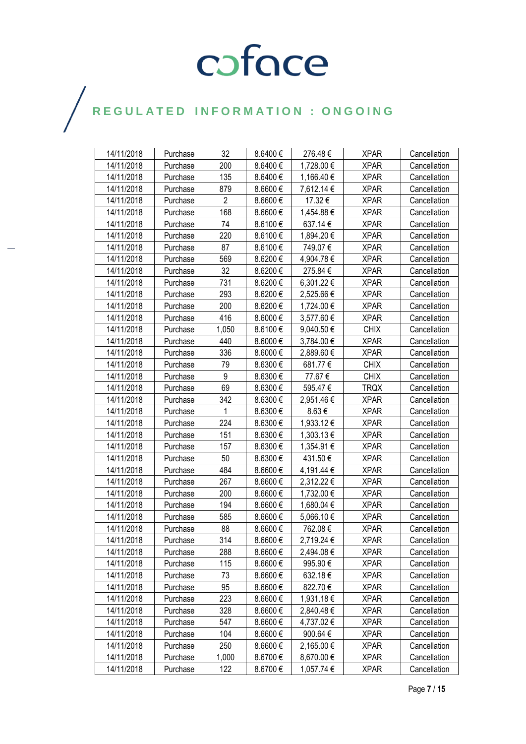| 14/11/2018 | Purchase | 32             | 8.6400€      | 276.48€    | <b>XPAR</b> | Cancellation |
|------------|----------|----------------|--------------|------------|-------------|--------------|
| 14/11/2018 | Purchase | 200            | 8.6400€      | 1,728.00 € | <b>XPAR</b> | Cancellation |
| 14/11/2018 | Purchase | 135            | 8.6400€      | 1,166.40€  | <b>XPAR</b> | Cancellation |
| 14/11/2018 | Purchase | 879            | 8.6600€      | 7,612.14 € | <b>XPAR</b> | Cancellation |
| 14/11/2018 | Purchase | $\overline{2}$ | 8.6600€      | 17.32€     | <b>XPAR</b> | Cancellation |
| 14/11/2018 | Purchase | 168            | 8.6600€      | 1,454.88 € | <b>XPAR</b> | Cancellation |
| 14/11/2018 | Purchase | 74             | 8.6100€      | 637.14€    | <b>XPAR</b> | Cancellation |
| 14/11/2018 | Purchase | 220            | 8.6100€      | 1,894.20€  | <b>XPAR</b> | Cancellation |
| 14/11/2018 | Purchase | 87             | 8.6100€      | 749.07€    | <b>XPAR</b> | Cancellation |
| 14/11/2018 | Purchase | 569            | 8.6200€      | 4,904.78€  | <b>XPAR</b> | Cancellation |
| 14/11/2018 | Purchase | 32             | 8.6200€      | 275.84€    | <b>XPAR</b> | Cancellation |
| 14/11/2018 | Purchase | 731            | 8.6200€      | 6,301.22 € | <b>XPAR</b> | Cancellation |
| 14/11/2018 | Purchase | 293            | 8.6200€      | 2,525.66 € | <b>XPAR</b> | Cancellation |
| 14/11/2018 | Purchase | 200            | 8.6200€      | 1,724.00 € | <b>XPAR</b> | Cancellation |
| 14/11/2018 | Purchase | 416            | 8.6000€      | 3,577.60 € | <b>XPAR</b> | Cancellation |
| 14/11/2018 | Purchase | 1,050          | 8.6100€      | 9,040.50 € | <b>CHIX</b> | Cancellation |
| 14/11/2018 | Purchase | 440            | 8.6000€      | 3,784.00 € | <b>XPAR</b> | Cancellation |
| 14/11/2018 | Purchase | 336            | 8.6000€      | 2,889.60 € | <b>XPAR</b> | Cancellation |
| 14/11/2018 | Purchase | 79             | 8.6300€      | 681.77€    | <b>CHIX</b> | Cancellation |
| 14/11/2018 | Purchase | 9              | 8.6300€      | 77.67 €    | <b>CHIX</b> | Cancellation |
| 14/11/2018 | Purchase | 69             | 8.6300 $\in$ | 595.47€    | <b>TRQX</b> | Cancellation |
| 14/11/2018 | Purchase | 342            | 8.6300€      | 2,951.46€  | <b>XPAR</b> | Cancellation |
| 14/11/2018 | Purchase | 1              | 8.6300€      | 8.63€      | <b>XPAR</b> | Cancellation |
| 14/11/2018 | Purchase | 224            | 8.6300€      | 1,933.12 € | <b>XPAR</b> | Cancellation |
| 14/11/2018 | Purchase | 151            | 8.6300€      | 1,303.13 € | <b>XPAR</b> | Cancellation |
| 14/11/2018 | Purchase | 157            | 8.6300€      | 1,354.91 € | <b>XPAR</b> | Cancellation |
| 14/11/2018 | Purchase | 50             | 8.6300€      | 431.50€    | <b>XPAR</b> | Cancellation |
| 14/11/2018 | Purchase | 484            | 8.6600€      | 4,191.44 € | <b>XPAR</b> | Cancellation |
| 14/11/2018 | Purchase | 267            | 8.6600€      | 2,312.22 € | <b>XPAR</b> | Cancellation |
| 14/11/2018 | Purchase | 200            | 8.6600€      | 1,732.00 € | <b>XPAR</b> | Cancellation |
| 14/11/2018 | Purchase | 194            | 8.6600€      | 1,680.04 € | <b>XPAR</b> | Cancellation |
| 14/11/2018 | Purchase | 585            | 8.6600€      | 5,066.10€  | <b>XPAR</b> | Cancellation |
| 14/11/2018 | Purchase | 88             | 8.6600€      | 762.08€    | <b>XPAR</b> | Cancellation |
| 14/11/2018 | Purchase | 314            | 8.6600€      | 2,719.24 € | <b>XPAR</b> | Cancellation |
| 14/11/2018 | Purchase | 288            | $8.6600 \in$ | 2,494.08 € | <b>XPAR</b> | Cancellation |
| 14/11/2018 | Purchase | 115            | $8.6600 \in$ | 995.90€    | <b>XPAR</b> | Cancellation |
| 14/11/2018 | Purchase | 73             | 8.6600€      | 632.18€    | <b>XPAR</b> | Cancellation |
| 14/11/2018 | Purchase | 95             | 8.6600€      | 822.70€    | <b>XPAR</b> | Cancellation |
| 14/11/2018 | Purchase | 223            | 8.6600€      | 1,931.18€  | <b>XPAR</b> | Cancellation |
| 14/11/2018 | Purchase | 328            | 8.6600€      | 2,840.48€  | <b>XPAR</b> | Cancellation |
| 14/11/2018 | Purchase | 547            | 8.6600 €     | 4,737.02 € | <b>XPAR</b> | Cancellation |
| 14/11/2018 | Purchase | 104            | 8.6600€      | 900.64€    | <b>XPAR</b> | Cancellation |
| 14/11/2018 | Purchase | 250            | 8.6600€      | 2,165.00 € | <b>XPAR</b> | Cancellation |
| 14/11/2018 | Purchase | 1,000          | 8.6700€      | 8,670.00 € | <b>XPAR</b> | Cancellation |
| 14/11/2018 | Purchase | 122            | 8.6700€      | 1,057.74 € | <b>XPAR</b> | Cancellation |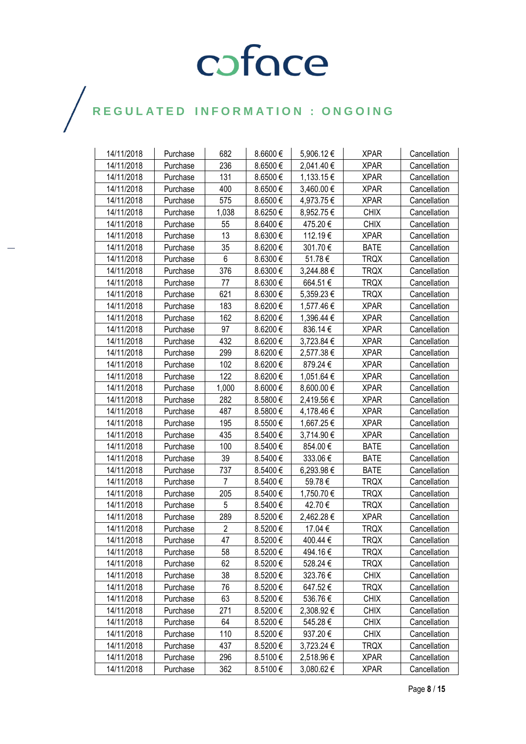| 14/11/2018 | Purchase | 682            | 8.6600€ | 5,906.12€  | <b>XPAR</b> | Cancellation |
|------------|----------|----------------|---------|------------|-------------|--------------|
| 14/11/2018 | Purchase | 236            | 8.6500€ | 2,041.40 € | <b>XPAR</b> | Cancellation |
| 14/11/2018 | Purchase | 131            | 8.6500€ | 1,133.15€  | <b>XPAR</b> | Cancellation |
| 14/11/2018 | Purchase | 400            | 8.6500€ | 3,460.00 € | <b>XPAR</b> | Cancellation |
| 14/11/2018 | Purchase | 575            | 8.6500€ | 4,973.75€  | <b>XPAR</b> | Cancellation |
| 14/11/2018 | Purchase | 1,038          | 8.6250€ | 8,952.75€  | <b>CHIX</b> | Cancellation |
| 14/11/2018 | Purchase | 55             | 8.6400€ | 475.20€    | <b>CHIX</b> | Cancellation |
| 14/11/2018 | Purchase | 13             | 8.6300€ | 112.19€    | <b>XPAR</b> | Cancellation |
| 14/11/2018 | Purchase | 35             | 8.6200€ | 301.70€    | <b>BATE</b> | Cancellation |
| 14/11/2018 | Purchase | 6              | 8.6300€ | 51.78€     | <b>TRQX</b> | Cancellation |
| 14/11/2018 | Purchase | 376            | 8.6300€ | 3,244.88 € | <b>TRQX</b> | Cancellation |
| 14/11/2018 | Purchase | 77             | 8.6300€ | 664.51€    | <b>TRQX</b> | Cancellation |
| 14/11/2018 | Purchase | 621            | 8.6300€ | 5,359.23€  | <b>TRQX</b> | Cancellation |
| 14/11/2018 | Purchase | 183            | 8.6200€ | 1,577.46€  | <b>XPAR</b> | Cancellation |
| 14/11/2018 | Purchase | 162            | 8.6200€ | 1,396.44 € | <b>XPAR</b> | Cancellation |
| 14/11/2018 | Purchase | 97             | 8.6200€ | 836.14€    | <b>XPAR</b> | Cancellation |
| 14/11/2018 | Purchase | 432            | 8.6200€ | 3,723.84 € | <b>XPAR</b> | Cancellation |
| 14/11/2018 | Purchase | 299            | 8.6200€ | 2,577.38€  | <b>XPAR</b> | Cancellation |
| 14/11/2018 | Purchase | 102            | 8.6200€ | 879.24€    | <b>XPAR</b> | Cancellation |
| 14/11/2018 | Purchase | 122            | 8.6200€ | 1,051.64 € | <b>XPAR</b> | Cancellation |
| 14/11/2018 | Purchase | 1,000          | 8.6000€ | 8,600.00€  | <b>XPAR</b> | Cancellation |
| 14/11/2018 | Purchase | 282            | 8.5800€ | 2,419.56€  | <b>XPAR</b> | Cancellation |
| 14/11/2018 | Purchase | 487            | 8.5800€ | 4,178.46€  | <b>XPAR</b> | Cancellation |
| 14/11/2018 | Purchase | 195            | 8.5500€ | 1,667.25€  | <b>XPAR</b> | Cancellation |
| 14/11/2018 | Purchase | 435            | 8.5400€ | 3,714.90 € | <b>XPAR</b> | Cancellation |
| 14/11/2018 | Purchase | 100            | 8.5400€ | 854.00€    | <b>BATE</b> | Cancellation |
| 14/11/2018 | Purchase | 39             | 8.5400€ | 333.06€    | <b>BATE</b> | Cancellation |
| 14/11/2018 | Purchase | 737            | 8.5400€ | 6,293.98 € | <b>BATE</b> | Cancellation |
| 14/11/2018 | Purchase | 7              | 8.5400€ | 59.78€     | TRQX        | Cancellation |
| 14/11/2018 | Purchase | 205            | 8.5400€ | 1,750.70€  | <b>TRQX</b> | Cancellation |
| 14/11/2018 | Purchase | 5              | 8.5400€ | 42.70€     | <b>TRQX</b> | Cancellation |
| 14/11/2018 | Purchase | 289            | 8.5200€ | 2,462.28 € | <b>XPAR</b> | Cancellation |
| 14/11/2018 | Purchase | $\overline{2}$ | 8.5200€ | 17.04 €    | <b>TRQX</b> | Cancellation |
| 14/11/2018 | Purchase | 47             | 8.5200€ | 400.44 €   | <b>TRQX</b> | Cancellation |
| 14/11/2018 | Purchase | 58             | 8.5200€ | 494.16€    | <b>TRQX</b> | Cancellation |
| 14/11/2018 | Purchase | 62             | 8.5200€ | 528.24€    | <b>TRQX</b> | Cancellation |
| 14/11/2018 | Purchase | 38             | 8.5200€ | 323.76€    | <b>CHIX</b> | Cancellation |
| 14/11/2018 | Purchase | 76             | 8.5200€ | 647.52€    | <b>TRQX</b> | Cancellation |
| 14/11/2018 | Purchase | 63             | 8.5200€ | 536.76€    | <b>CHIX</b> | Cancellation |
| 14/11/2018 | Purchase | 271            | 8.5200€ | 2,308.92€  | <b>CHIX</b> | Cancellation |
| 14/11/2018 | Purchase | 64             | 8.5200€ | 545.28€    | <b>CHIX</b> | Cancellation |
| 14/11/2018 | Purchase | 110            | 8.5200€ | 937.20€    | <b>CHIX</b> | Cancellation |
| 14/11/2018 | Purchase | 437            | 8.5200€ | 3,723.24 € | <b>TRQX</b> | Cancellation |
| 14/11/2018 | Purchase | 296            | 8.5100€ | 2,518.96€  | <b>XPAR</b> | Cancellation |
| 14/11/2018 | Purchase | 362            | 8.5100€ | 3,080.62€  | <b>XPAR</b> | Cancellation |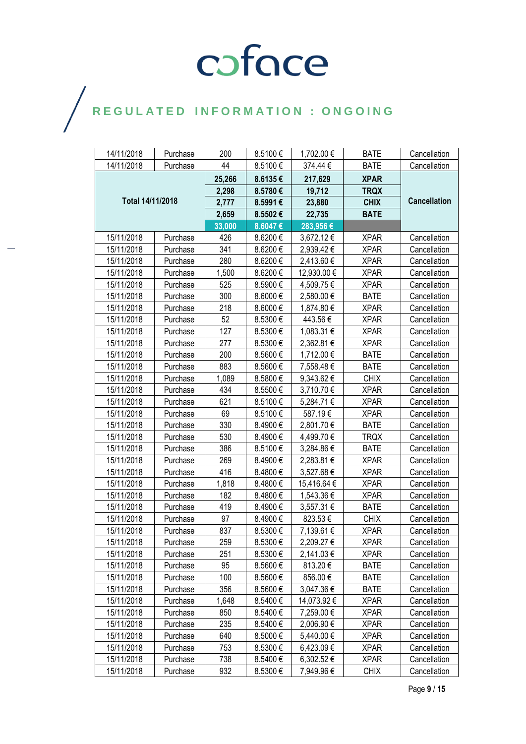| 14/11/2018       | Purchase | 200    | 8.5100€ | 1,702.00 €  | <b>BATE</b> | Cancellation        |
|------------------|----------|--------|---------|-------------|-------------|---------------------|
| 14/11/2018       | Purchase | 44     | 8.5100€ | 374.44€     | <b>BATE</b> | Cancellation        |
|                  |          | 25,266 | 8.6135€ | 217,629     | <b>XPAR</b> |                     |
|                  |          | 2,298  | 8.5780€ | 19,712      | <b>TRQX</b> |                     |
| Total 14/11/2018 |          | 2,777  | 8.5991€ | 23,880      | <b>CHIX</b> | <b>Cancellation</b> |
|                  |          | 2,659  | 8.5502€ | 22,735      | <b>BATE</b> |                     |
|                  |          | 33,000 | 8.6047€ | 283,956€    |             |                     |
| 15/11/2018       | Purchase | 426    | 8.6200€ | 3,672.12€   | <b>XPAR</b> | Cancellation        |
| 15/11/2018       | Purchase | 341    | 8.6200€ | 2,939.42 €  | <b>XPAR</b> | Cancellation        |
| 15/11/2018       | Purchase | 280    | 8.6200€ | 2,413.60 €  | <b>XPAR</b> | Cancellation        |
| 15/11/2018       | Purchase | 1,500  | 8.6200€ | 12,930.00 € | <b>XPAR</b> | Cancellation        |
| 15/11/2018       | Purchase | 525    | 8.5900€ | 4,509.75 €  | <b>XPAR</b> | Cancellation        |
| 15/11/2018       | Purchase | 300    | 8.6000€ | 2,580.00€   | <b>BATE</b> | Cancellation        |
| 15/11/2018       | Purchase | 218    | 8.6000€ | 1,874.80 €  | <b>XPAR</b> | Cancellation        |
| 15/11/2018       | Purchase | 52     | 8.5300€ | 443.56€     | <b>XPAR</b> | Cancellation        |
| 15/11/2018       | Purchase | 127    | 8.5300€ | 1,083.31 €  | <b>XPAR</b> | Cancellation        |
| 15/11/2018       | Purchase | 277    | 8.5300€ | 2,362.81 €  | <b>XPAR</b> | Cancellation        |
| 15/11/2018       | Purchase | 200    | 8.5600€ | 1,712.00 €  | <b>BATE</b> | Cancellation        |
| 15/11/2018       | Purchase | 883    | 8.5600€ | 7,558.48€   | <b>BATE</b> | Cancellation        |
| 15/11/2018       | Purchase | 1,089  | 8.5800€ | 9,343.62€   | <b>CHIX</b> | Cancellation        |
| 15/11/2018       | Purchase | 434    | 8.5500€ | 3,710.70 €  | <b>XPAR</b> | Cancellation        |
| 15/11/2018       | Purchase | 621    | 8.5100€ | 5,284.71€   | <b>XPAR</b> | Cancellation        |
| 15/11/2018       | Purchase | 69     | 8.5100€ | 587.19€     | <b>XPAR</b> | Cancellation        |
| 15/11/2018       | Purchase | 330    | 8.4900€ | 2,801.70€   | <b>BATE</b> | Cancellation        |
| 15/11/2018       | Purchase | 530    | 8.4900€ | 4,499.70 €  | <b>TRQX</b> | Cancellation        |
| 15/11/2018       | Purchase | 386    | 8.5100€ | 3,284.86€   | <b>BATE</b> | Cancellation        |
| 15/11/2018       | Purchase | 269    | 8.4900€ | 2,283.81 €  | <b>XPAR</b> | Cancellation        |
| 15/11/2018       | Purchase | 416    | 8.4800€ | 3,527.68 €  | <b>XPAR</b> | Cancellation        |
| 15/11/2018       | Purchase | 1,818  | 8.4800€ | 15,416.64 € | <b>XPAR</b> | Cancellation        |
| 15/11/2018       | Purchase | 182    | 8.4800€ | 1,543.36 €  | <b>XPAR</b> | Cancellation        |
| 15/11/2018       | Purchase | 419    | 8.4900€ | 3,557.31 €  | <b>BATE</b> | Cancellation        |
| 15/11/2018       | Purchase | 97     | 8.4900€ | 823.53€     | <b>CHIX</b> | Cancellation        |
| 15/11/2018       | Purchase | 837    | 8.5300€ | 7,139.61 €  | <b>XPAR</b> | Cancellation        |
| 15/11/2018       | Purchase | 259    | 8.5300€ | 2,209.27€   | <b>XPAR</b> | Cancellation        |
| 15/11/2018       | Purchase | 251    | 8.5300€ | 2,141.03 €  | <b>XPAR</b> | Cancellation        |
| 15/11/2018       | Purchase | 95     | 8.5600€ | 813.20€     | <b>BATE</b> | Cancellation        |
| 15/11/2018       | Purchase | 100    | 8.5600€ | 856.00€     | <b>BATE</b> | Cancellation        |
| 15/11/2018       | Purchase | 356    | 8.5600€ | 3,047.36 €  | <b>BATE</b> | Cancellation        |
| 15/11/2018       | Purchase | 1,648  | 8.5400€ | 14,073.92 € | <b>XPAR</b> | Cancellation        |
| 15/11/2018       | Purchase | 850    | 8.5400€ | 7,259.00€   | <b>XPAR</b> | Cancellation        |
| 15/11/2018       | Purchase | 235    | 8.5400€ | 2,006.90€   | <b>XPAR</b> | Cancellation        |
| 15/11/2018       | Purchase | 640    | 8.5000€ | 5,440.00 €  | <b>XPAR</b> | Cancellation        |
| 15/11/2018       | Purchase | 753    | 8.5300€ | 6,423.09€   | <b>XPAR</b> | Cancellation        |
| 15/11/2018       | Purchase | 738    | 8.5400€ | 6,302.52€   | <b>XPAR</b> | Cancellation        |
| 15/11/2018       | Purchase | 932    | 8.5300€ | 7,949.96€   | <b>CHIX</b> | Cancellation        |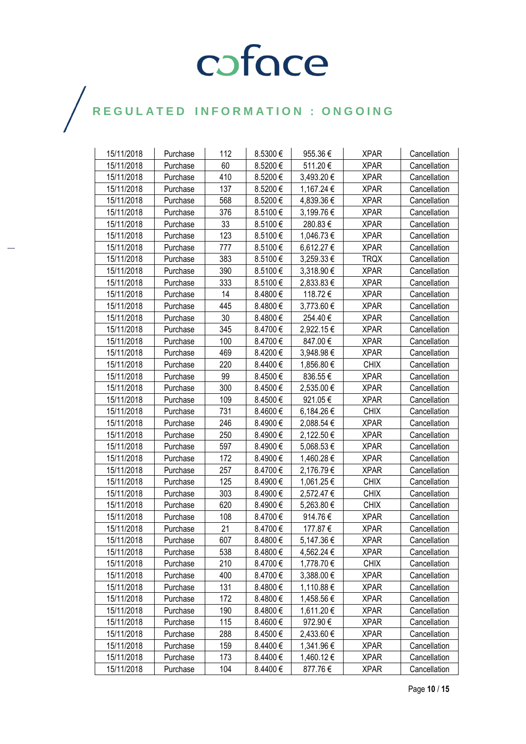| 15/11/2018 | Purchase | 112 | 8.5300€ | 955.36€    | <b>XPAR</b> | Cancellation |
|------------|----------|-----|---------|------------|-------------|--------------|
| 15/11/2018 | Purchase | 60  | 8.5200€ | 511.20€    | <b>XPAR</b> | Cancellation |
| 15/11/2018 | Purchase | 410 | 8.5200€ | 3,493.20 € | <b>XPAR</b> | Cancellation |
| 15/11/2018 | Purchase | 137 | 8.5200€ | 1,167.24 € | <b>XPAR</b> | Cancellation |
| 15/11/2018 | Purchase | 568 | 8.5200€ | 4,839.36 € | <b>XPAR</b> | Cancellation |
| 15/11/2018 | Purchase | 376 | 8.5100€ | 3,199.76 € | <b>XPAR</b> | Cancellation |
| 15/11/2018 | Purchase | 33  | 8.5100€ | 280.83€    | <b>XPAR</b> | Cancellation |
| 15/11/2018 | Purchase | 123 | 8.5100€ | 1,046.73€  | <b>XPAR</b> | Cancellation |
| 15/11/2018 | Purchase | 777 | 8.5100€ | 6,612.27 € | <b>XPAR</b> | Cancellation |
| 15/11/2018 | Purchase | 383 | 8.5100€ | 3,259.33 € | <b>TRQX</b> | Cancellation |
| 15/11/2018 | Purchase | 390 | 8.5100€ | 3,318.90 € | <b>XPAR</b> | Cancellation |
| 15/11/2018 | Purchase | 333 | 8.5100€ | 2,833.83 € | <b>XPAR</b> | Cancellation |
| 15/11/2018 | Purchase | 14  | 8.4800€ | 118.72€    | <b>XPAR</b> | Cancellation |
| 15/11/2018 | Purchase | 445 | 8.4800€ | 3,773.60 € | <b>XPAR</b> | Cancellation |
| 15/11/2018 | Purchase | 30  | 8.4800€ | 254.40€    | <b>XPAR</b> | Cancellation |
| 15/11/2018 | Purchase | 345 | 8.4700€ | 2,922.15€  | <b>XPAR</b> | Cancellation |
| 15/11/2018 | Purchase | 100 | 8.4700€ | 847.00€    | <b>XPAR</b> | Cancellation |
| 15/11/2018 | Purchase | 469 | 8.4200€ | 3,948.98€  | <b>XPAR</b> | Cancellation |
| 15/11/2018 | Purchase | 220 | 8.4400€ | 1,856.80 € | <b>CHIX</b> | Cancellation |
| 15/11/2018 | Purchase | 99  | 8.4500€ | 836.55€    | <b>XPAR</b> | Cancellation |
| 15/11/2018 | Purchase | 300 | 8.4500€ | 2,535.00€  | <b>XPAR</b> | Cancellation |
| 15/11/2018 | Purchase | 109 | 8.4500€ | 921.05€    | <b>XPAR</b> | Cancellation |
| 15/11/2018 | Purchase | 731 | 8.4600€ | 6,184.26€  | <b>CHIX</b> | Cancellation |
| 15/11/2018 | Purchase | 246 | 8.4900€ | 2,088.54 € | <b>XPAR</b> | Cancellation |
| 15/11/2018 | Purchase | 250 | 8.4900€ | 2,122.50 € | <b>XPAR</b> | Cancellation |
| 15/11/2018 | Purchase | 597 | 8.4900€ | 5,068.53€  | <b>XPAR</b> | Cancellation |
| 15/11/2018 | Purchase | 172 | 8.4900€ | 1,460.28 € | <b>XPAR</b> | Cancellation |
| 15/11/2018 | Purchase | 257 | 8.4700€ | 2,176.79€  | <b>XPAR</b> | Cancellation |
| 15/11/2018 | Purchase | 125 | 8.4900€ | 1,061.25 € | <b>CHIX</b> | Cancellation |
| 15/11/2018 | Purchase | 303 | 8.4900€ | 2,572.47 € | <b>CHIX</b> | Cancellation |
| 15/11/2018 | Purchase | 620 | 8.4900€ | 5,263.80€  | <b>CHIX</b> | Cancellation |
| 15/11/2018 | Purchase | 108 | 8.4700€ | 914.76€    | <b>XPAR</b> | Cancellation |
| 15/11/2018 | Purchase | 21  | 8.4700€ | 177.87€    | <b>XPAR</b> | Cancellation |
| 15/11/2018 | Purchase | 607 | 8.4800€ | 5,147.36€  | <b>XPAR</b> | Cancellation |
| 15/11/2018 | Purchase | 538 | 8.4800€ | 4,562.24 € | <b>XPAR</b> | Cancellation |
| 15/11/2018 | Purchase | 210 | 8.4700€ | 1,778.70 € | <b>CHIX</b> | Cancellation |
| 15/11/2018 | Purchase | 400 | 8.4700€ | 3,388.00 € | <b>XPAR</b> | Cancellation |
| 15/11/2018 | Purchase | 131 | 8.4800€ | 1,110.88 € | <b>XPAR</b> | Cancellation |
| 15/11/2018 | Purchase | 172 | 8.4800€ | 1,458.56 € | <b>XPAR</b> | Cancellation |
| 15/11/2018 | Purchase | 190 | 8.4800€ | 1,611.20€  | <b>XPAR</b> | Cancellation |
| 15/11/2018 | Purchase | 115 | 8.4600€ | 972.90€    | <b>XPAR</b> | Cancellation |
| 15/11/2018 | Purchase | 288 | 8.4500€ | 2,433.60 € | <b>XPAR</b> | Cancellation |
| 15/11/2018 | Purchase | 159 | 8.4400€ | 1,341.96 € | <b>XPAR</b> | Cancellation |
| 15/11/2018 | Purchase | 173 | 8.4400€ | 1,460.12 € | <b>XPAR</b> | Cancellation |
| 15/11/2018 | Purchase | 104 | 8.4400€ | 877.76€    | <b>XPAR</b> | Cancellation |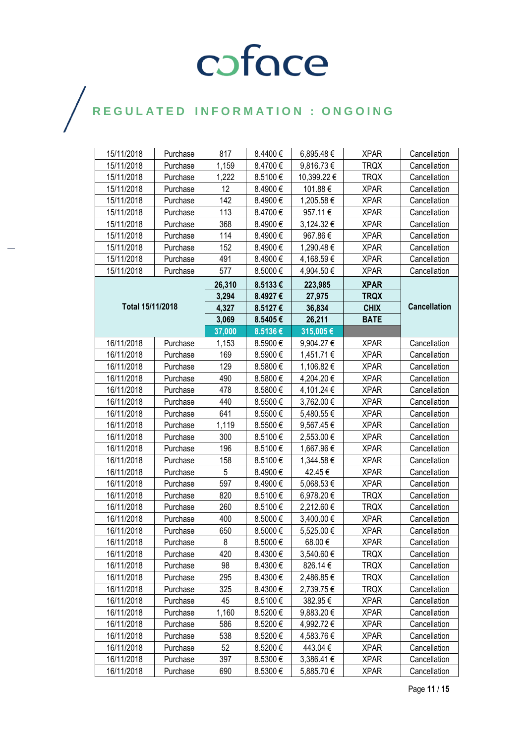## $\bigg)$

| 15/11/2018       | Purchase | 817    | 8.4400 €     | 6,895.48€   | <b>XPAR</b> | Cancellation        |
|------------------|----------|--------|--------------|-------------|-------------|---------------------|
| 15/11/2018       | Purchase | 1,159  | 8.4700€      | 9,816.73€   | <b>TRQX</b> | Cancellation        |
| 15/11/2018       | Purchase | 1,222  | 8.5100€      | 10,399.22 € | <b>TRQX</b> | Cancellation        |
| 15/11/2018       | Purchase | 12     | 8.4900€      | 101.88€     | <b>XPAR</b> | Cancellation        |
| 15/11/2018       | Purchase | 142    | 8.4900€      | 1,205.58€   | <b>XPAR</b> | Cancellation        |
| 15/11/2018       | Purchase | 113    | 8.4700€      | 957.11€     | <b>XPAR</b> | Cancellation        |
| 15/11/2018       | Purchase | 368    | 8.4900€      | 3,124.32 €  | <b>XPAR</b> | Cancellation        |
| 15/11/2018       | Purchase | 114    | 8.4900€      | 967.86€     | <b>XPAR</b> | Cancellation        |
| 15/11/2018       | Purchase | 152    | 8.4900€      | 1,290.48€   | <b>XPAR</b> | Cancellation        |
| 15/11/2018       | Purchase | 491    | 8.4900€      | 4,168.59€   | <b>XPAR</b> | Cancellation        |
| 15/11/2018       | Purchase | 577    | 8.5000 $\in$ | 4,904.50 €  | <b>XPAR</b> | Cancellation        |
|                  |          | 26,310 | 8.5133€      | 223,985     | <b>XPAR</b> |                     |
|                  |          | 3,294  | 8.4927€      | 27,975      | <b>TRQX</b> |                     |
| Total 15/11/2018 |          | 4,327  | 8.5127€      | 36,834      | <b>CHIX</b> | <b>Cancellation</b> |
|                  |          | 3,069  | 8.5405€      | 26,211      | <b>BATE</b> |                     |
|                  |          | 37,000 | 8.5136€      | 315,005€    |             |                     |
| 16/11/2018       | Purchase | 1,153  | 8.5900€      | 9,904.27 €  | <b>XPAR</b> | Cancellation        |
| 16/11/2018       | Purchase | 169    | 8.5900€      | 1,451.71€   | <b>XPAR</b> | Cancellation        |
| 16/11/2018       | Purchase | 129    | 8.5800€      | 1,106.82 €  | <b>XPAR</b> | Cancellation        |
| 16/11/2018       | Purchase | 490    | 8.5800€      | 4,204.20€   | <b>XPAR</b> | Cancellation        |
| 16/11/2018       | Purchase | 478    | 8.5800€      | 4,101.24 €  | <b>XPAR</b> | Cancellation        |
| 16/11/2018       | Purchase | 440    | 8.5500€      | 3,762.00 €  | <b>XPAR</b> | Cancellation        |
| 16/11/2018       | Purchase | 641    | 8.5500€      | 5,480.55€   | <b>XPAR</b> | Cancellation        |
| 16/11/2018       | Purchase | 1,119  | 8.5500€      | 9,567.45€   | <b>XPAR</b> | Cancellation        |
| 16/11/2018       | Purchase | 300    | 8.5100€      | 2,553.00 €  | <b>XPAR</b> | Cancellation        |
| 16/11/2018       | Purchase | 196    | 8.5100€      | 1,667.96 €  | <b>XPAR</b> | Cancellation        |
| 16/11/2018       | Purchase | 158    | 8.5100€      | 1,344.58 €  | <b>XPAR</b> | Cancellation        |
| 16/11/2018       | Purchase | 5      | 8.4900€      | 42.45€      | <b>XPAR</b> | Cancellation        |
| 16/11/2018       | Purchase | 597    | 8.4900€      | 5,068.53€   | <b>XPAR</b> | Cancellation        |
| 16/11/2018       | Purchase | 820    | 8.5100€      | 6,978.20€   | <b>TRQX</b> | Cancellation        |
| 16/11/2018       | Purchase | 260    | 8.5100€      | 2,212.60 €  | <b>TRQX</b> | Cancellation        |
| 16/11/2018       | Purchase | 400    | 8.5000€      | 3,400.00 €  | <b>XPAR</b> | Cancellation        |
| 16/11/2018       | Purchase | 650    | 8.5000€      | 5,525.00 €  | <b>XPAR</b> | Cancellation        |
| 16/11/2018       | Purchase | 8      | 8.5000€      | 68.00 €     | <b>XPAR</b> | Cancellation        |
| 16/11/2018       | Purchase | 420    | 8.4300€      | 3,540.60 €  | <b>TRQX</b> | Cancellation        |
| 16/11/2018       | Purchase | 98     | 8.4300€      | 826.14€     | <b>TRQX</b> | Cancellation        |
| 16/11/2018       | Purchase | 295    | 8.4300€      | 2,486.85€   | <b>TRQX</b> | Cancellation        |
| 16/11/2018       | Purchase | 325    | 8.4300€      | 2,739.75€   | <b>TRQX</b> | Cancellation        |
| 16/11/2018       | Purchase | 45     | 8.5100€      | 382.95€     | <b>XPAR</b> | Cancellation        |
| 16/11/2018       | Purchase | 1,160  | 8.5200€      | 9,883.20 €  | <b>XPAR</b> | Cancellation        |
| 16/11/2018       | Purchase | 586    | 8.5200€      | 4,992.72 €  | <b>XPAR</b> | Cancellation        |
| 16/11/2018       | Purchase | 538    | 8.5200€      | 4,583.76€   | <b>XPAR</b> | Cancellation        |
| 16/11/2018       | Purchase | 52     | 8.5200€      | 443.04 €    | <b>XPAR</b> | Cancellation        |
| 16/11/2018       | Purchase | 397    | 8.5300€      | 3,386.41 €  | <b>XPAR</b> | Cancellation        |
| 16/11/2018       | Purchase | 690    | 8.5300€      | 5,885.70 €  | <b>XPAR</b> | Cancellation        |

Page **11** / **15**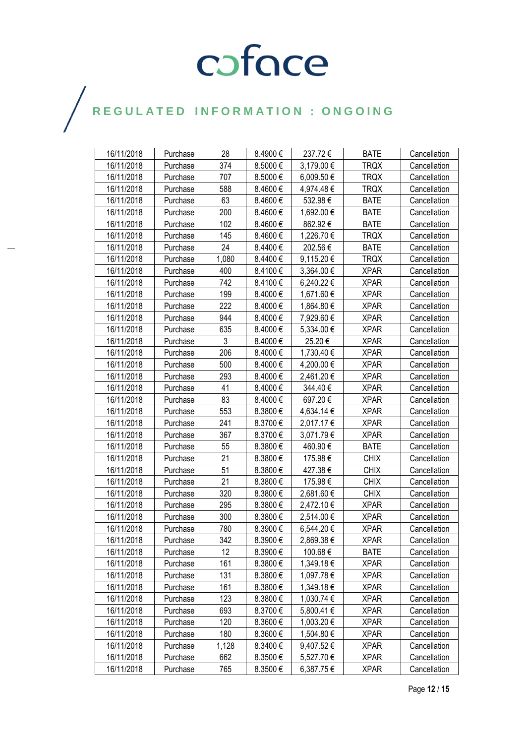| 16/11/2018 | Purchase | 28    | 8.4900€ | 237.72€    | <b>BATE</b> | Cancellation |
|------------|----------|-------|---------|------------|-------------|--------------|
| 16/11/2018 | Purchase | 374   | 8.5000€ | 3,179.00 € | <b>TRQX</b> | Cancellation |
| 16/11/2018 | Purchase | 707   | 8.5000€ | 6,009.50 € | <b>TRQX</b> | Cancellation |
| 16/11/2018 | Purchase | 588   | 8.4600€ | 4,974.48€  | <b>TRQX</b> | Cancellation |
| 16/11/2018 | Purchase | 63    | 8.4600€ | 532.98€    | <b>BATE</b> | Cancellation |
| 16/11/2018 | Purchase | 200   | 8.4600€ | 1,692.00 € | <b>BATE</b> | Cancellation |
| 16/11/2018 | Purchase | 102   | 8.4600€ | 862.92€    | <b>BATE</b> | Cancellation |
| 16/11/2018 | Purchase | 145   | 8.4600€ | 1,226.70 € | <b>TRQX</b> | Cancellation |
| 16/11/2018 | Purchase | 24    | 8.4400€ | 202.56€    | <b>BATE</b> | Cancellation |
| 16/11/2018 | Purchase | 1,080 | 8.4400€ | 9,115.20€  | <b>TRQX</b> | Cancellation |
| 16/11/2018 | Purchase | 400   | 8.4100€ | 3,364.00 € | <b>XPAR</b> | Cancellation |
| 16/11/2018 | Purchase | 742   | 8.4100€ | 6,240.22 € | <b>XPAR</b> | Cancellation |
| 16/11/2018 | Purchase | 199   | 8.4000€ | 1,671.60 € | <b>XPAR</b> | Cancellation |
| 16/11/2018 | Purchase | 222   | 8.4000€ | 1,864.80 € | <b>XPAR</b> | Cancellation |
| 16/11/2018 | Purchase | 944   | 8.4000€ | 7,929.60 € | <b>XPAR</b> | Cancellation |
| 16/11/2018 | Purchase | 635   | 8.4000€ | 5,334.00 € | <b>XPAR</b> | Cancellation |
| 16/11/2018 | Purchase | 3     | 8.4000€ | 25.20€     | <b>XPAR</b> | Cancellation |
| 16/11/2018 | Purchase | 206   | 8.4000€ | 1,730.40 € | <b>XPAR</b> | Cancellation |
| 16/11/2018 | Purchase | 500   | 8.4000€ | 4,200.00 € | <b>XPAR</b> | Cancellation |
| 16/11/2018 | Purchase | 293   | 8.4000€ | 2,461.20 € | <b>XPAR</b> | Cancellation |
| 16/11/2018 | Purchase | 41    | 8.4000€ | 344.40€    | <b>XPAR</b> | Cancellation |
| 16/11/2018 | Purchase | 83    | 8.4000€ | 697.20€    | <b>XPAR</b> | Cancellation |
| 16/11/2018 | Purchase | 553   | 8.3800€ | 4,634.14 € | <b>XPAR</b> | Cancellation |
| 16/11/2018 | Purchase | 241   | 8.3700€ | 2,017.17 € | <b>XPAR</b> | Cancellation |
| 16/11/2018 | Purchase | 367   | 8.3700€ | 3,071.79€  | <b>XPAR</b> | Cancellation |
| 16/11/2018 | Purchase | 55    | 8.3800€ | 460.90€    | <b>BATE</b> | Cancellation |
| 16/11/2018 | Purchase | 21    | 8.3800€ | 175.98€    | <b>CHIX</b> | Cancellation |
| 16/11/2018 | Purchase | 51    | 8.3800€ | 427.38€    | <b>CHIX</b> | Cancellation |
| 16/11/2018 | Purchase | 21    | 8.3800€ | 175.98€    | <b>CHIX</b> | Cancellation |
| 16/11/2018 | Purchase | 320   | 8.3800€ | 2,681.60 € | <b>CHIX</b> | Cancellation |
| 16/11/2018 | Purchase | 295   | 8.3800€ | 2,472.10 € | <b>XPAR</b> | Cancellation |
| 16/11/2018 | Purchase | 300   | 8.3800€ | 2,514.00€  | <b>XPAR</b> | Cancellation |
| 16/11/2018 | Purchase | 780   | 8.3900€ | 6,544.20€  | <b>XPAR</b> | Cancellation |
| 16/11/2018 | Purchase | 342   | 8.3900€ | 2,869.38€  | <b>XPAR</b> | Cancellation |
| 16/11/2018 | Purchase | 12    | 8.3900€ | 100.68€    | <b>BATE</b> | Cancellation |
| 16/11/2018 | Purchase | 161   | 8.3800€ | 1,349.18 € | <b>XPAR</b> | Cancellation |
| 16/11/2018 | Purchase | 131   | 8.3800€ | 1,097.78 € | <b>XPAR</b> | Cancellation |
| 16/11/2018 | Purchase | 161   | 8.3800€ | 1,349.18 € | <b>XPAR</b> | Cancellation |
| 16/11/2018 | Purchase | 123   | 8.3800€ | 1,030.74 € | <b>XPAR</b> | Cancellation |
| 16/11/2018 | Purchase | 693   | 8.3700€ | 5,800.41 € | <b>XPAR</b> | Cancellation |
| 16/11/2018 | Purchase | 120   | 8.3600€ | 1,003.20 € | <b>XPAR</b> | Cancellation |
| 16/11/2018 | Purchase | 180   | 8.3600€ | 1,504.80 € | <b>XPAR</b> | Cancellation |
| 16/11/2018 | Purchase | 1,128 | 8.3400€ | 9,407.52 € | <b>XPAR</b> | Cancellation |
| 16/11/2018 | Purchase | 662   | 8.3500€ | 5,527.70 € | <b>XPAR</b> | Cancellation |
| 16/11/2018 | Purchase | 765   | 8.3500€ | 6,387.75€  | <b>XPAR</b> | Cancellation |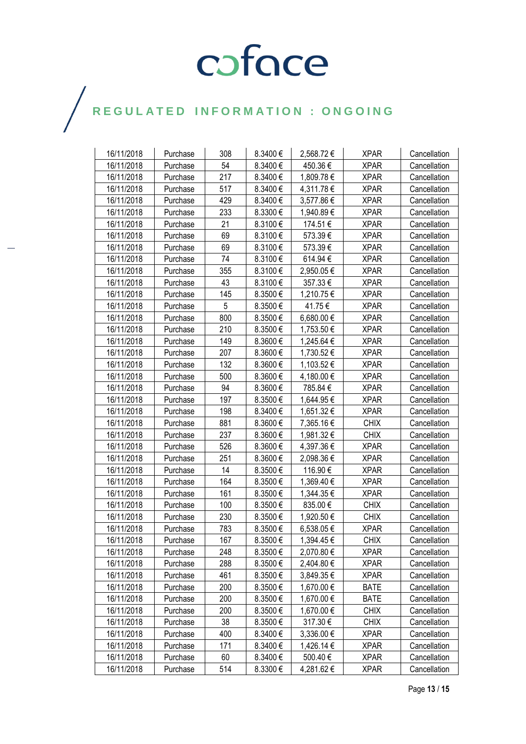| 16/11/2018 | Purchase | 308 | 8.3400€  | 2,568.72€  | <b>XPAR</b> | Cancellation |
|------------|----------|-----|----------|------------|-------------|--------------|
| 16/11/2018 | Purchase | 54  | 8.3400€  | 450.36€    | <b>XPAR</b> | Cancellation |
| 16/11/2018 | Purchase | 217 | 8.3400€  | 1,809.78€  | <b>XPAR</b> | Cancellation |
| 16/11/2018 | Purchase | 517 | 8.3400€  | 4,311.78€  | <b>XPAR</b> | Cancellation |
| 16/11/2018 | Purchase | 429 | 8.3400€  | 3,577.86€  | <b>XPAR</b> | Cancellation |
| 16/11/2018 | Purchase | 233 | 8.3300€  | 1,940.89€  | <b>XPAR</b> | Cancellation |
| 16/11/2018 | Purchase | 21  | 8.3100€  | 174.51€    | <b>XPAR</b> | Cancellation |
| 16/11/2018 | Purchase | 69  | 8.3100€  | 573.39€    | <b>XPAR</b> | Cancellation |
| 16/11/2018 | Purchase | 69  | 8.3100€  | 573.39€    | <b>XPAR</b> | Cancellation |
| 16/11/2018 | Purchase | 74  | 8.3100€  | 614.94€    | <b>XPAR</b> | Cancellation |
| 16/11/2018 | Purchase | 355 | 8.3100€  | 2,950.05€  | <b>XPAR</b> | Cancellation |
| 16/11/2018 | Purchase | 43  | 8.3100€  | 357.33€    | <b>XPAR</b> | Cancellation |
| 16/11/2018 | Purchase | 145 | 8.3500€  | 1,210.75€  | <b>XPAR</b> | Cancellation |
| 16/11/2018 | Purchase | 5   | 8.3500€  | 41.75 €    | <b>XPAR</b> | Cancellation |
| 16/11/2018 | Purchase | 800 | 8.3500€  | 6,680.00 € | <b>XPAR</b> | Cancellation |
| 16/11/2018 | Purchase | 210 | 8.3500€  | 1,753.50 € | <b>XPAR</b> | Cancellation |
| 16/11/2018 | Purchase | 149 | 8.3600€  | 1,245.64 € | <b>XPAR</b> | Cancellation |
| 16/11/2018 | Purchase | 207 | 8.3600€  | 1,730.52 € | <b>XPAR</b> | Cancellation |
| 16/11/2018 | Purchase | 132 | 8.3600€  | 1,103.52€  | <b>XPAR</b> | Cancellation |
| 16/11/2018 | Purchase | 500 | 8.3600€  | 4,180.00 € | <b>XPAR</b> | Cancellation |
| 16/11/2018 | Purchase | 94  | 8.3600€  | 785.84€    | <b>XPAR</b> | Cancellation |
| 16/11/2018 | Purchase | 197 | 8.3500€  | 1,644.95 € | <b>XPAR</b> | Cancellation |
| 16/11/2018 | Purchase | 198 | 8.3400€  | 1,651.32 € | <b>XPAR</b> | Cancellation |
| 16/11/2018 | Purchase | 881 | 8.3600€  | 7,365.16€  | <b>CHIX</b> | Cancellation |
| 16/11/2018 | Purchase | 237 | 8.3600€  | 1,981.32€  | <b>CHIX</b> | Cancellation |
| 16/11/2018 | Purchase | 526 | 8.3600€  | 4,397.36 € | <b>XPAR</b> | Cancellation |
| 16/11/2018 | Purchase | 251 | 8.3600€  | 2,098.36 € | <b>XPAR</b> | Cancellation |
| 16/11/2018 | Purchase | 14  | 8.3500€  | 116.90€    | <b>XPAR</b> | Cancellation |
| 16/11/2018 | Purchase | 164 | 8.3500€  | 1,369.40 € | <b>XPAR</b> | Cancellation |
| 16/11/2018 | Purchase | 161 | 8.3500€  | 1,344.35 € | <b>XPAR</b> | Cancellation |
| 16/11/2018 | Purchase | 100 | 8.3500€  | 835.00€    | <b>CHIX</b> | Cancellation |
| 16/11/2018 | Purchase | 230 | 8.3500€  | 1,920.50 € | <b>CHIX</b> | Cancellation |
| 16/11/2018 | Purchase | 783 | 8.3500€  | 6,538.05€  | <b>XPAR</b> | Cancellation |
| 16/11/2018 | Purchase | 167 | 8.3500€  | 1,394.45€  | <b>CHIX</b> | Cancellation |
| 16/11/2018 | Purchase | 248 | 8.3500€  | 2,070.80 € | <b>XPAR</b> | Cancellation |
| 16/11/2018 | Purchase | 288 | 8.3500€  | 2,404.80 € | <b>XPAR</b> | Cancellation |
| 16/11/2018 | Purchase | 461 | 8.3500€  | 3,849.35 € | <b>XPAR</b> | Cancellation |
| 16/11/2018 | Purchase | 200 | 8.3500€  | 1,670.00 € | <b>BATE</b> | Cancellation |
| 16/11/2018 | Purchase | 200 | 8.3500€  | 1,670.00 € | <b>BATE</b> | Cancellation |
| 16/11/2018 | Purchase | 200 | 8.3500€  | 1,670.00 € | <b>CHIX</b> | Cancellation |
| 16/11/2018 | Purchase | 38  | 8.3500€  | 317.30€    | <b>CHIX</b> | Cancellation |
| 16/11/2018 | Purchase | 400 | 8.3400€  | 3,336.00 € | <b>XPAR</b> | Cancellation |
| 16/11/2018 | Purchase | 171 | 8.3400€  | 1,426.14 € | <b>XPAR</b> | Cancellation |
| 16/11/2018 | Purchase | 60  | 8.3400 € | 500.40€    | <b>XPAR</b> | Cancellation |
| 16/11/2018 | Purchase | 514 | 8.3300€  | 4,281.62 € | <b>XPAR</b> | Cancellation |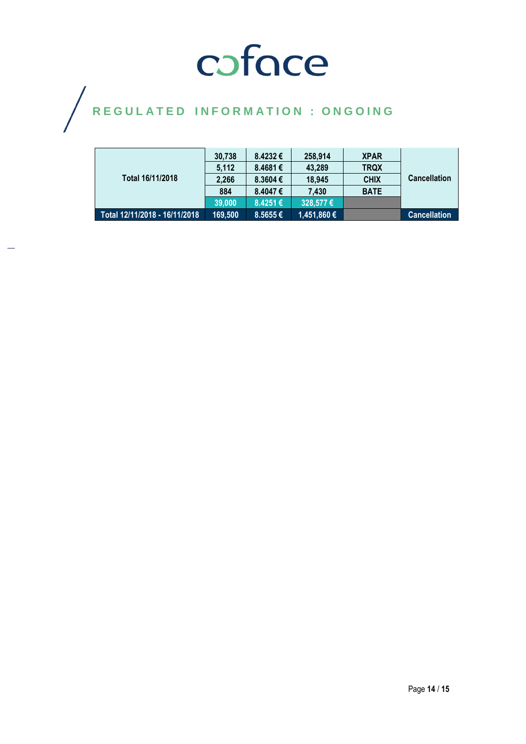|                               | 30.738  | 8.4232€      | 258,914     | <b>XPAR</b> | <b>Cancellation</b> |
|-------------------------------|---------|--------------|-------------|-------------|---------------------|
|                               | 5.112   | 8.4681€      | 43.289      | <b>TRQX</b> |                     |
| Total 16/11/2018              | 2.266   | $8,3604 \in$ | 18,945      | <b>CHIX</b> |                     |
|                               | 884     | 8.4047€      | 7.430       | <b>BATE</b> |                     |
|                               | 39,000  | 8.4251€      | 328,577€    |             |                     |
| Total 12/11/2018 - 16/11/2018 | 169,500 | $8.5655 \in$ | 1,451,860 € |             | <b>Cancellation</b> |